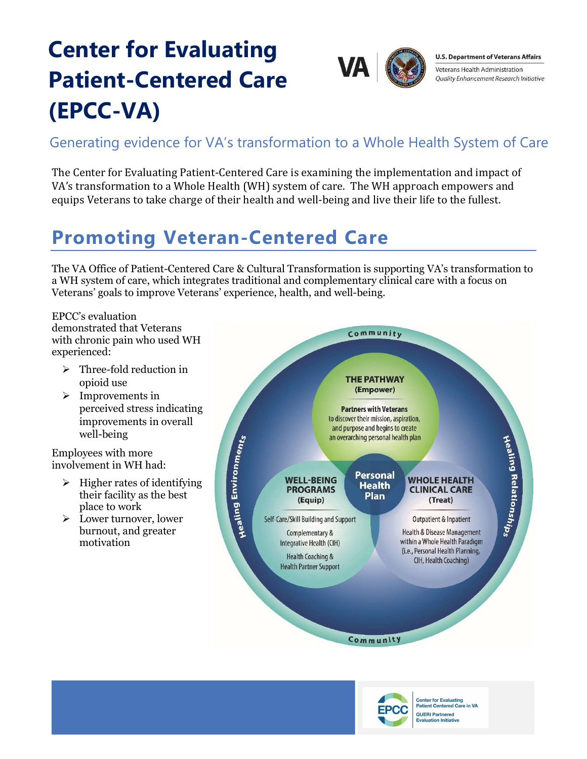# Center for Evaluating Patient-Centered Care (EPCC-VA)



**U.S. Department of Veterans Affairs** Veterans Health Administration Quality Enhancement Research Initiative

#### Generating evidence for VA's transformation to a Whole Health System of Care

The Center for Evaluating Patient-Centered Care is examining the implementation and impact of VA's transformation to a Whole Health (WH) system of care. The WH approach empowers and equips Veterans to take charge of their health and well-being and live their life to the fullest.

#### Promoting Veteran-Centered Care

The VA Office of Patient-Centered Care & Cultural Transformation is supporting VA's transformation to a WH system of care, which integrates traditional and complementary clinical care with a focus on Veterans' goals to improve Veterans' experience, health, and well-being.

EPCC's evaluation demonstrated that Veterans with chronic pain who used WH experienced:

- $\triangleright$  Three-fold reduction in opioid use
- $\triangleright$  Improvements in perceived stress indicating improvements in overall well-being

Employees with more involvement in WH had:

- $\triangleright$  Higher rates of identifying their facility as the best place to work
- Lower turnover, lower burnout, and greater motivation





**Center for Evaluating<br>Patient Centered Care in VA QUERI Partnered Evaluation Initiative**